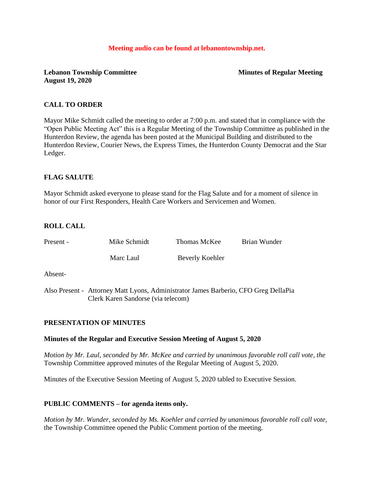#### **Meeting audio can be found at lebanontownship.net.**

## **Lebanon Township Committee Minutes of Regular Meeting August 19, 2020**

## **CALL TO ORDER**

Mayor Mike Schmidt called the meeting to order at 7:00 p.m. and stated that in compliance with the "Open Public Meeting Act" this is a Regular Meeting of the Township Committee as published in the Hunterdon Review, the agenda has been posted at the Municipal Building and distributed to the Hunterdon Review, Courier News, the Express Times, the Hunterdon County Democrat and the Star Ledger.

## **FLAG SALUTE**

Mayor Schmidt asked everyone to please stand for the Flag Salute and for a moment of silence in honor of our First Responders, Health Care Workers and Servicemen and Women.

## **ROLL CALL**

| Present - | Mike Schmidt                                                                        | Thomas McKee    | Brian Wunder |
|-----------|-------------------------------------------------------------------------------------|-----------------|--------------|
|           | Marc Laul                                                                           | Beverly Koehler |              |
| Absent-   |                                                                                     |                 |              |
|           | Also Present - Attorney Matt Lyons, Administrator James Barberio, CFO Greg DellaPia |                 |              |

## **PRESENTATION OF MINUTES**

#### **Minutes of the Regular and Executive Session Meeting of August 5, 2020**

Clerk Karen Sandorse (via telecom)

*Motion by Mr. Laul, seconded by Mr. McKee and carried by unanimous favorable roll call vote, the* Township Committee approved minutes of the Regular Meeting of August 5, 2020.

Minutes of the Executive Session Meeting of August 5, 2020 tabled to Executive Session.

## **PUBLIC COMMENTS – for agenda items only.**

*Motion by Mr. Wunder, seconded by Ms. Koehler and carried by unanimous favorable roll call vote,* the Township Committee opened the Public Comment portion of the meeting.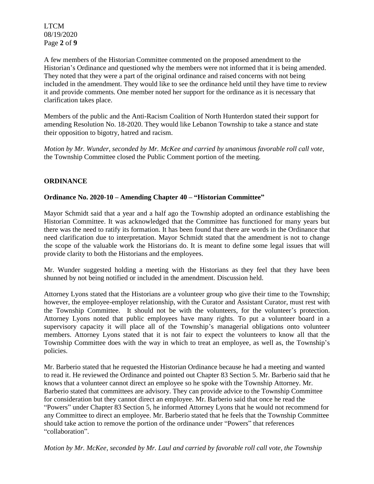LTCM 08/19/2020 Page **2** of **9**

A few members of the Historian Committee commented on the proposed amendment to the Historian's Ordinance and questioned why the members were not informed that it is being amended. They noted that they were a part of the original ordinance and raised concerns with not being included in the amendment. They would like to see the ordinance held until they have time to review it and provide comments. One member noted her support for the ordinance as it is necessary that clarification takes place.

Members of the public and the Anti-Racism Coalition of North Hunterdon stated their support for amending Resolution No. 18-2020. They would like Lebanon Township to take a stance and state their opposition to bigotry, hatred and racism.

*Motion by Mr. Wunder, seconded by Mr. McKee and carried by unanimous favorable roll call vote,* the Township Committee closed the Public Comment portion of the meeting.

## **ORDINANCE**

#### **Ordinance No. 2020-10 – Amending Chapter 40 – "Historian Committee"**

Mayor Schmidt said that a year and a half ago the Township adopted an ordinance establishing the Historian Committee. It was acknowledged that the Committee has functioned for many years but there was the need to ratify its formation. It has been found that there are words in the Ordinance that need clarification due to interpretation. Mayor Schmidt stated that the amendment is not to change the scope of the valuable work the Historians do. It is meant to define some legal issues that will provide clarity to both the Historians and the employees.

Mr. Wunder suggested holding a meeting with the Historians as they feel that they have been shunned by not being notified or included in the amendment. Discussion held.

Attorney Lyons stated that the Historians are a volunteer group who give their time to the Township; however, the employee-employer relationship, with the Curator and Assistant Curator, must rest with the Township Committee. It should not be with the volunteers, for the volunteer's protection. Attorney Lyons noted that public employees have many rights. To put a volunteer board in a supervisory capacity it will place all of the Township's managerial obligations onto volunteer members. Attorney Lyons stated that it is not fair to expect the volunteers to know all that the Township Committee does with the way in which to treat an employee, as well as, the Township's policies.

Mr. Barberio stated that he requested the Historian Ordinance because he had a meeting and wanted to read it. He reviewed the Ordinance and pointed out Chapter 83 Section 5. Mr. Barberio said that he knows that a volunteer cannot direct an employee so he spoke with the Township Attorney. Mr. Barberio stated that committees are advisory. They can provide advice to the Township Committee for consideration but they cannot direct an employee. Mr. Barberio said that once he read the "Powers" under Chapter 83 Section 5, he informed Attorney Lyons that he would not recommend for any Committee to direct an employee. Mr. Barberio stated that he feels that the Township Committee should take action to remove the portion of the ordinance under "Powers" that references "collaboration".

*Motion by Mr. McKee, seconded by Mr. Laul and carried by favorable roll call vote, the Township*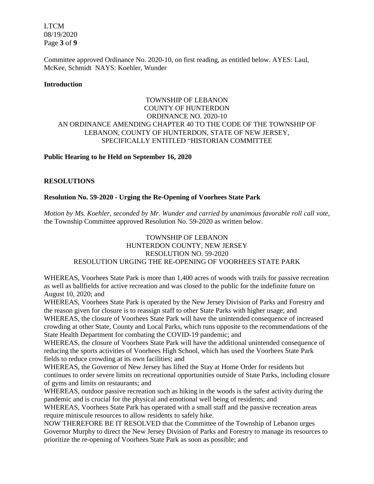LTCM 08/19/2020 Page **3** of **9**

Committee approved Ordinance No. 2020-10, on first reading, as entitled below. AYES: Laul, McKee, Schmidt NAYS: Koehler, Wunder

#### **Introduction**

## TOWNSHIP OF LEBANON COUNTY OF HUNTERDON ORDINANCE NO. 2020-10 AN ORDINANCE AMENDING CHAPTER 40 TO THE CODE OF THE TOWNSHIP OF LEBANON, COUNTY OF HUNTERDON, STATE OF NEW JERSEY, SPECIFICALLY ENTITLED "HISTORIAN COMMITTEE

#### **Public Hearing to he Held on September 16, 2020**

#### **RESOLUTIONS**

#### **Resolution No. 59-2020 - Urging the Re-Opening of Voorhees State Park**

*Motion by Ms. Koehler, seconded by Mr. Wunder and carried by unanimous favorable roll call vote,* the Township Committee approved Resolution No. 59-2020 as written below.

## TOWNSHIP OF LEBANON HUNTERDON COUNTY, NEW JERSEY RESOLUTION NO. 59-2020 RESOLUTION URGING THE RE-OPENING OF VOORHEES STATE PARK

WHEREAS, Voorhees State Park is more than 1,400 acres of woods with trails for passive recreation as well as ballfields for active recreation and was closed to the public for the indefinite future on August 10, 2020; and

WHEREAS, Voorhees State Park is operated by the New Jersey Division of Parks and Forestry and the reason given for closure is to reassign staff to other State Parks with higher usage; and WHEREAS, the closure of Voorhees State Park will have the unintended consequence of increased crowding at other State, County and Local Parks, which runs opposite to the recommendations of the State Health Department for combating the COVID-19 pandemic; and

WHEREAS, the closure of Voorhees State Park will have the additional unintended consequence of reducing the sports activities of Voorhees High School, which has used the Voorhees State Park fields to reduce crowding at its own facilities; and

WHEREAS, the Governor of New Jersey has lifted the Stay at Home Order for residents but continues to order severe limits on recreational opportunities outside of State Parks, including closure of gyms and limits on restaurants; and

WHEREAS, outdoor passive recreation such as hiking in the woods is the safest activity during the pandemic and is crucial for the physical and emotional well being of residents; and

WHEREAS, Voorhees State Park has operated with a small staff and the passive recreation areas require miniscule resources to allow residents to safely hike.

NOW THEREFORE BE IT RESOLVED that the Committee of the Township of Lebanon urges Governor Murphy to direct the New Jersey Division of Parks and Forestry to manage its resources to prioritize the re-opening of Voorhees State Park as soon as possible; and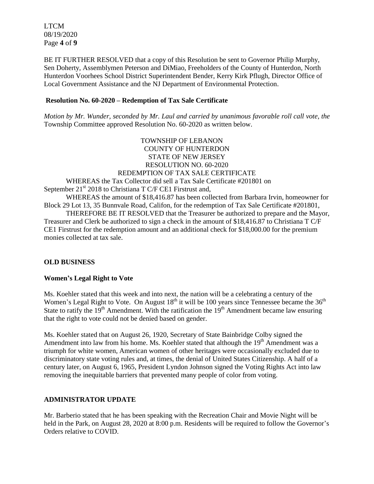LTCM 08/19/2020 Page **4** of **9**

BE IT FURTHER RESOLVED that a copy of this Resolution be sent to Governor Philip Murphy, Sen Doherty, Assemblymen Peterson and DiMiao, Freeholders of the County of Hunterdon, North Hunterdon Voorhees School District Superintendent Bender, Kerry Kirk Pflugh, Director Office of Local Government Assistance and the NJ Department of Environmental Protection.

#### **Resolution No. 60-2020 – Redemption of Tax Sale Certificate**

*Motion by Mr. Wunder, seconded by Mr. Laul and carried by unanimous favorable roll call vote, the* Township Committee approved Resolution No. 60-2020 as written below.

 TOWNSHIP OF LEBANON COUNTY OF HUNTERDON STATE OF NEW JERSEY RESOLUTION NO. 60-2020 REDEMPTION OF TAX SALE CERTIFICATE WHEREAS the Tax Collector did sell a Tax Sale Certificate #201801 on September  $21<sup>st</sup> 2018$  to Christiana T C/F CE1 Firstrust and, WHEREAS the amount of \$18,416.87 has been collected from Barbara Irvin, homeowner for Block 29 Lot 13, 35 Bunnvale Road, Califon, for the redemption of Tax Sale Certificate #201801, THEREFORE BE IT RESOLVED that the Treasurer be authorized to prepare and the Mayor, Treasurer and Clerk be authorized to sign a check in the amount of \$18,416.87 to Christiana T C/F CE1 Firstrust for the redemption amount and an additional check for \$18,000.00 for the premium monies collected at tax sale.

## **OLD BUSINESS**

#### **Women's Legal Right to Vote**

Ms. Koehler stated that this week and into next, the nation will be a celebrating a century of the Women's Legal Right to Vote. On August  $18<sup>th</sup>$  it will be 100 years since Tennessee became the  $36<sup>th</sup>$ State to ratify the  $19<sup>th</sup>$  Amendment. With the ratification the  $19<sup>th</sup>$  Amendment became law ensuring that the right to vote could not be denied based on gender.

Ms. Koehler stated that on August 26, 1920, Secretary of State Bainbridge Colby signed the Amendment into law from his home. Ms. Koehler stated that although the  $19<sup>th</sup>$  Amendment was a triumph for white women, American women of other heritages were occasionally excluded due to discriminatory state voting rules and, at times, the denial of United States Citizenship. A half of a century later, on August 6, 1965, President Lyndon Johnson signed the Voting Rights Act into law removing the inequitable barriers that prevented many people of color from voting.

## **ADMINISTRATOR UPDATE**

Mr. Barberio stated that he has been speaking with the Recreation Chair and Movie Night will be held in the Park, on August 28, 2020 at 8:00 p.m. Residents will be required to follow the Governor's Orders relative to COVID.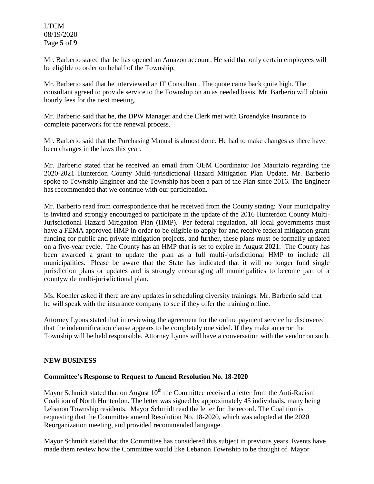LTCM 08/19/2020 Page **5** of **9**

Mr. Barberio stated that he has opened an Amazon account. He said that only certain employees will be eligible to order on behalf of the Township.

Mr. Barberio said that he interviewed an IT Consultant. The quote came back quite high. The consultant agreed to provide service to the Township on an as needed basis. Mr. Barberio will obtain hourly fees for the next meeting.

Mr. Barberio said that he, the DPW Manager and the Clerk met with Groendyke Insurance to complete paperwork for the renewal process.

Mr. Barberio said that the Purchasing Manual is almost done. He had to make changes as there have been changes in the laws this year.

Mr. Barberio stated that he received an email from OEM Coordinator Joe Maurizio regarding the 2020-2021 Hunterdon County Multi-jurisdictional Hazard Mitigation Plan Update. Mr. Barberio spoke to Township Engineer and the Township has been a part of the Plan since 2016. The Engineer has recommended that we continue with our participation.

Mr. Barberio read from correspondence that he received from the County stating: Your municipality is invited and strongly encouraged to participate in the update of the 2016 Hunterdon County Multi-Jurisdictional Hazard Mitigation Plan (HMP). Per federal regulation, all local governments must have a FEMA approved HMP in order to be eligible to apply for and receive federal mitigation grant funding for public and private mitigation projects, and further, these plans must be formally updated on a five-year cycle. The County has an HMP that is set to expire in August 2021. The County has been awarded a grant to update the plan as a full multi-jurisdictional HMP to include all municipalities. Please be aware that the State has indicated that it will no longer fund single jurisdiction plans or updates and is strongly encouraging all municipalities to become part of a countywide multi-jurisdictional plan.

Ms. Koehler asked if there are any updates in scheduling diversity trainings. Mr. Barberio said that he will speak with the insurance company to see if they offer the training online.

Attorney Lyons stated that in reviewing the agreement for the online payment service he discovered that the indemnification clause appears to be completely one sided. If they make an error the Township will be held responsible. Attorney Lyons will have a conversation with the vendor on such.

## **NEW BUSINESS**

#### **Committee's Response to Request to Amend Resolution No. 18-2020**

Mayor Schmidt stated that on August  $10<sup>th</sup>$  the Committee received a letter from the Anti-Racism Coalition of North Hunterdon. The letter was signed by approximately 45 individuals, many being Lebanon Township residents. Mayor Schmidt read the letter for the record. The Coalition is requesting that the Committee amend Resolution No. 18-2020, which was adopted at the 2020 Reorganization meeting, and provided recommended language.

Mayor Schmidt stated that the Committee has considered this subject in previous years. Events have made them review how the Committee would like Lebanon Township to be thought of. Mayor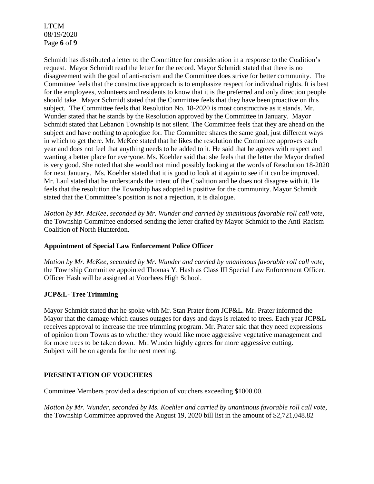LTCM 08/19/2020 Page **6** of **9**

Schmidt has distributed a letter to the Committee for consideration in a response to the Coalition's request. Mayor Schmidt read the letter for the record. Mayor Schmidt stated that there is no disagreement with the goal of anti-racism and the Committee does strive for better community. The Committee feels that the constructive approach is to emphasize respect for individual rights. It is best for the employees, volunteers and residents to know that it is the preferred and only direction people should take. Mayor Schmidt stated that the Committee feels that they have been proactive on this subject. The Committee feels that Resolution No. 18-2020 is most constructive as it stands. Mr. Wunder stated that he stands by the Resolution approved by the Committee in January. Mayor Schmidt stated that Lebanon Township is not silent. The Committee feels that they are ahead on the subject and have nothing to apologize for. The Committee shares the same goal, just different ways in which to get there. Mr. McKee stated that he likes the resolution the Committee approves each year and does not feel that anything needs to be added to it. He said that he agrees with respect and wanting a better place for everyone. Ms. Koehler said that she feels that the letter the Mayor drafted is very good. She noted that she would not mind possibly looking at the words of Resolution 18-2020 for next January. Ms. Koehler stated that it is good to look at it again to see if it can be improved. Mr. Laul stated that he understands the intent of the Coalition and he does not disagree with it. He feels that the resolution the Township has adopted is positive for the community. Mayor Schmidt stated that the Committee's position is not a rejection, it is dialogue.

*Motion by Mr. McKee, seconded by Mr. Wunder and carried by unanimous favorable roll call vote,* the Township Committee endorsed sending the letter drafted by Mayor Schmidt to the Anti-Racism Coalition of North Hunterdon.

## **Appointment of Special Law Enforcement Police Officer**

*Motion by Mr. McKee, seconded by Mr. Wunder and carried by unanimous favorable roll call vote,* the Township Committee appointed Thomas Y. Hash as Class III Special Law Enforcement Officer. Officer Hash will be assigned at Voorhees High School.

## **JCP&L- Tree Trimming**

Mayor Schmidt stated that he spoke with Mr. Stan Prater from JCP&L. Mr. Prater informed the Mayor that the damage which causes outages for days and days is related to trees. Each year JCP&L receives approval to increase the tree trimming program. Mr. Prater said that they need expressions of opinion from Towns as to whether they would like more aggressive vegetative management and for more trees to be taken down. Mr. Wunder highly agrees for more aggressive cutting. Subject will be on agenda for the next meeting.

## **PRESENTATION OF VOUCHERS**

Committee Members provided a description of vouchers exceeding \$1000.00.

*Motion by Mr. Wunder, seconded by Ms. Koehler and carried by unanimous favorable roll call vote,* the Township Committee approved the August 19, 2020 bill list in the amount of \$2,721,048.82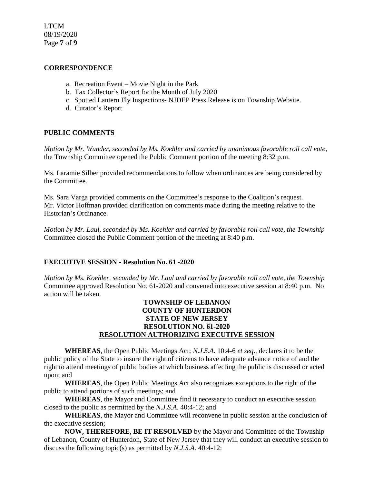LTCM 08/19/2020 Page **7** of **9**

#### **CORRESPONDENCE**

- a. Recreation Event Movie Night in the Park
- b. Tax Collector's Report for the Month of July 2020
- c. Spotted Lantern Fly Inspections- NJDEP Press Release is on Township Website.
- d. Curator's Report

## **PUBLIC COMMENTS**

*Motion by Mr. Wunder, seconded by Ms. Koehler and carried by unanimous favorable roll call vote,* the Township Committee opened the Public Comment portion of the meeting 8:32 p.m.

Ms. Laramie Silber provided recommendations to follow when ordinances are being considered by the Committee.

Ms. Sara Varga provided comments on the Committee's response to the Coalition's request. Mr. Victor Hoffman provided clarification on comments made during the meeting relative to the Historian's Ordinance.

*Motion by Mr. Laul, seconded by Ms. Koehler and carried by favorable roll call vote, the Township* Committee closed the Public Comment portion of the meeting at 8:40 p.m.

## **EXECUTIVE SESSION - Resolution No. 61 -2020**

*Motion by Ms. Koehler, seconded by Mr. Laul and carried by favorable roll call vote, the Township* Committee approved Resolution No. 61-2020 and convened into executive session at 8:40 p.m. No action will be taken.

## **TOWNSHIP OF LEBANON COUNTY OF HUNTERDON STATE OF NEW JERSEY RESOLUTION NO. 61-2020 RESOLUTION AUTHORIZING EXECUTIVE SESSION**

**WHEREAS**, the Open Public Meetings Act; *N.J.S.A.* 10:4-6 *et seq*., declares it to be the public policy of the State to insure the right of citizens to have adequate advance notice of and the right to attend meetings of public bodies at which business affecting the public is discussed or acted upon; and

**WHEREAS**, the Open Public Meetings Act also recognizes exceptions to the right of the public to attend portions of such meetings; and

**WHEREAS**, the Mayor and Committee find it necessary to conduct an executive session closed to the public as permitted by the *N.J.S.A*. 40:4-12; and

**WHEREAS**, the Mayor and Committee will reconvene in public session at the conclusion of the executive session;

**NOW, THEREFORE, BE IT RESOLVED** by the Mayor and Committee of the Township of Lebanon, County of Hunterdon, State of New Jersey that they will conduct an executive session to discuss the following topic(s) as permitted by *N.J.S.A*. 40:4-12: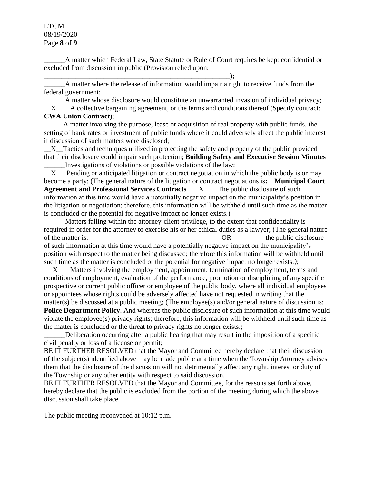LTCM 08/19/2020 Page **8** of **9**

\_\_\_\_\_\_A matter which Federal Law, State Statute or Rule of Court requires be kept confidential or excluded from discussion in public (Provision relied upon:

\_\_\_\_\_\_A matter where the release of information would impair a right to receive funds from the federal government;

\_\_\_\_\_\_\_\_\_\_\_\_\_\_\_\_\_\_\_\_\_\_\_\_\_\_\_\_\_\_\_\_\_\_\_\_\_\_\_\_\_\_\_\_\_\_\_\_\_\_\_\_\_);

\_\_\_\_\_\_A matter whose disclosure would constitute an unwarranted invasion of individual privacy; X A collective bargaining agreement, or the terms and conditions thereof (Specify contract: **CWA Union Contract**);

\_\_\_\_\_ A matter involving the purpose, lease or acquisition of real property with public funds, the setting of bank rates or investment of public funds where it could adversely affect the public interest if discussion of such matters were disclosed;

 $X$  Tactics and techniques utilized in protecting the safety and property of the public provided that their disclosure could impair such protection; **Building Safety and Executive Session Minutes** \_\_\_\_\_\_Investigations of violations or possible violations of the law;

X Pending or anticipated litigation or contract negotiation in which the public body is or may become a party; (The general nature of the litigation or contract negotiations is**: Municipal Court Agreement and Professional Services Contracts** \_\_\_X\_\_\_. The public disclosure of such information at this time would have a potentially negative impact on the municipality's position in the litigation or negotiation; therefore, this information will be withheld until such time as the matter is concluded or the potential for negative impact no longer exists.)

 Matters falling within the attorney-client privilege, to the extent that confidentiality is required in order for the attorney to exercise his or her ethical duties as a lawyer; (The general nature of the matter is: OR the public disclosure of such information at this time would have a potentially negative impact on the municipality's position with respect to the matter being discussed; therefore this information will be withheld until such time as the matter is concluded or the potential for negative impact no longer exists.*)*;

 X Matters involving the employment, appointment, termination of employment, terms and conditions of employment, evaluation of the performance, promotion or disciplining of any specific prospective or current public officer or employee of the public body, where all individual employees or appointees whose rights could be adversely affected have not requested in writing that the matter(s) be discussed at a public meeting; (The employee(s) and/or general nature of discussion is: **Police Department Policy**. And whereas the public disclosure of such information at this time would

violate the employee(s) privacy rights; therefore, this information will be withheld until such time as the matter is concluded or the threat to privacy rights no longer exists.;

\_\_\_\_\_\_Deliberation occurring after a public hearing that may result in the imposition of a specific civil penalty or loss of a license or permit;

BE IT FURTHER RESOLVED that the Mayor and Committee hereby declare that their discussion of the subject(s) identified above may be made public at a time when the Township Attorney advises them that the disclosure of the discussion will not detrimentally affect any right, interest or duty of the Township or any other entity with respect to said discussion.

BE IT FURTHER RESOLVED that the Mayor and Committee, for the reasons set forth above, hereby declare that the public is excluded from the portion of the meeting during which the above discussion shall take place.

The public meeting reconvened at 10:12 p.m.